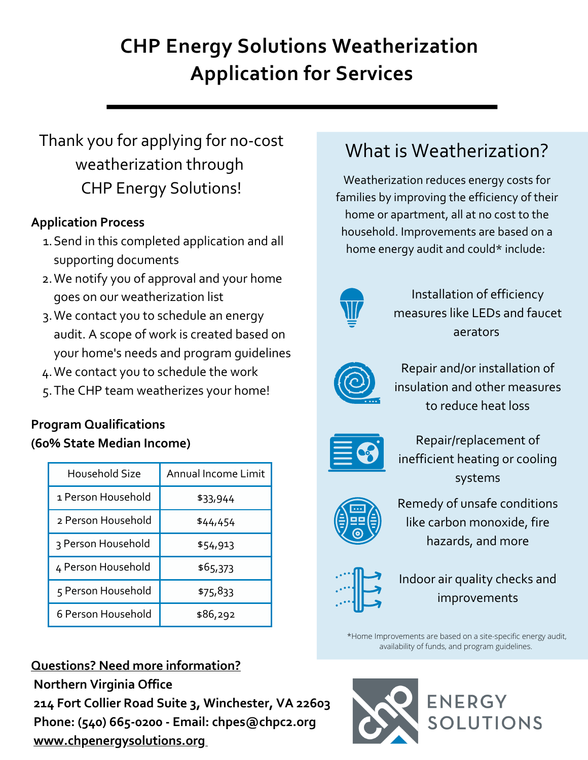# **CHP Energy Solutions Weatherization Application for Services**

# Thank you for applying for no-cost weatherization through CHP Energy Solutions!

# **Application Process**

- 1. Send in this completed application and all supporting documents
- We notify you of approval and your home 2. goes on our weatherization list
- We contact you to schedule an energy 3. audit. A scope of work is created based on your home's needs and program guidelines
- We contact you to schedule the work 4.
- The CHP team weatherizes your home! 5.

# **Program Qualifications (60% State Median Income)**

| Household Size     | Annual Income Limit |
|--------------------|---------------------|
| 1 Person Household | \$33,944            |
| 2 Person Household | \$44,454            |
| 3 Person Household | \$54,913            |
| 4 Person Household | \$65,373            |
| 5 Person Household | \$75,833            |
| 6 Person Household | \$86,292            |

# **Questions? Need more information?**

**Northern Virginia Office 214 Fort Collier Road Suite 3, Winchester, VA 22603 Phone: (540) 665-0200 - Email: chpes@chpc2.org [www.chpenergysolutions.org](http://www.chpenergysolutions.org/)**

# What is Weatherization?

Weatherization reduces energy costs for families by improving the efficiency of their home or apartment, all at no cost to the household. Improvements are based on a home energy audit and could\* include:



Installation of efficiency measures like LEDs and faucet aerators



Repair and/or installation of insulation and other measures to reduce heat loss



Repair/replacement of inefficient heating or cooling systems



Remedy of unsafe conditions like carbon monoxide, fire hazards, and more



Indoor air quality checks and improvements

\*Home Improvements are based on a site-specific energy audit, availability of funds, and program guidelines.

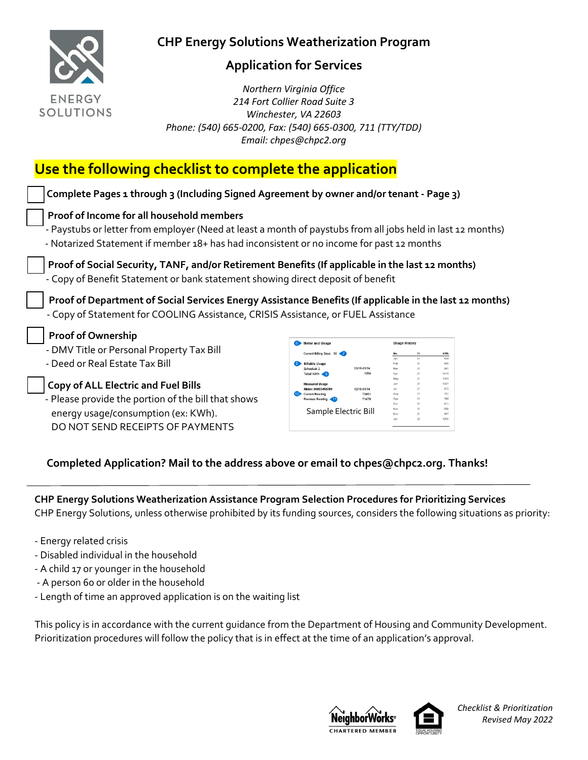

## **Application for Services**

 *Northern Virginia Office 214 Fort Collier Road Suite 3 Winchester, VA 22603 Phone: (540) 665-0200, Fax: (540) 665-0300, 711 (TTY/TDD) Email: chpes@chpc2.org*

# **Use the following checklist to complete the application**

| Complete Pages 1 through 3 (Including Signed Agreement by owner and/or tenant - Page 3)                     |                             |                      |                      |          |              |
|-------------------------------------------------------------------------------------------------------------|-----------------------------|----------------------|----------------------|----------|--------------|
| Proof of Income for all household members                                                                   |                             |                      |                      |          |              |
| - Paystubs or letter from employer (Need at least a month of paystubs from all jobs held in last 12 months) |                             |                      |                      |          |              |
| - Notarized Statement if member 18+ has had inconsistent or no income for past 12 months                    |                             |                      |                      |          |              |
|                                                                                                             |                             |                      |                      |          |              |
| Proof of Social Security, TANF, and/or Retirement Benefits (If applicable in the last 12 months)            |                             |                      |                      |          |              |
| - Copy of Benefit Statement or bank statement showing direct deposit of benefit                             |                             |                      |                      |          |              |
|                                                                                                             |                             |                      |                      |          |              |
|                                                                                                             |                             |                      |                      |          |              |
|                                                                                                             |                             |                      |                      |          |              |
| Proof of Department of Social Services Energy Assistance Benefits (If applicable in the last 12 months)     |                             |                      |                      |          |              |
| - Copy of Statement for COOLING Assistance, CRISIS Assistance, or FUEL Assistance                           |                             |                      |                      |          |              |
|                                                                                                             |                             |                      |                      |          |              |
| <b>Proof of Ownership</b>                                                                                   | 6 Meter and Usage           |                      | <b>Usage History</b> |          |              |
| - DMV Title or Personal Property Tax Bill                                                                   | Current Billing Days: 30 47 |                      |                      | Yr       | kWh          |
| - Deed or Real Estate Tax Bill                                                                              | illable Usage               |                      |                      | 21<br>21 | 838<br>805   |
|                                                                                                             | Schedule :<br>Total kWh < 9 | 12/15-01/14<br>1254  | <b>Mar</b>           | 21<br>21 | 981<br>1415  |
|                                                                                                             |                             |                      | May<br>Jun           | 21<br>21 | 1345<br>1037 |
| <b>Copy of ALL Electric and Fuel Bills</b>                                                                  | <b>Current Reading</b>      | 12/15-01/14<br>72451 | Jul.<br>Aug          | 21<br>21 | 972<br>731   |
| - Please provide the portion of the bill that shows                                                         | Previous Reading            | 71479                |                      | 21<br>21 | 795<br>811   |
| energy usage/consumption (ex: KWh).                                                                         | Sample Electric Bill        |                      | Dec                  |          | 854<br>857   |

#### **Completed Application? Mail to the address above or email to chpes@chpc2.org. Thanks!**

**CHP Energy Solutions Weatherization Assistance Program Selection Procedures for Prioritizing Services** CHP Energy Solutions, unless otherwise prohibited by its funding sources, considers the following situations as priority:

- Energy related crisis
- Disabled individual in the household
- A child 17 or younger in the household

DO NOT SEND RECEIPTS OF PAYMENTS

- A person 60 or older in the household
- Length of time an approved application is on the waiting list

This policy is in accordance with the current guidance from the Department of Housing and Community Development. Prioritization procedures will follow the policy that is in effect at the time of an application's approval.





*Checklist & Prioritization Revised May 2022*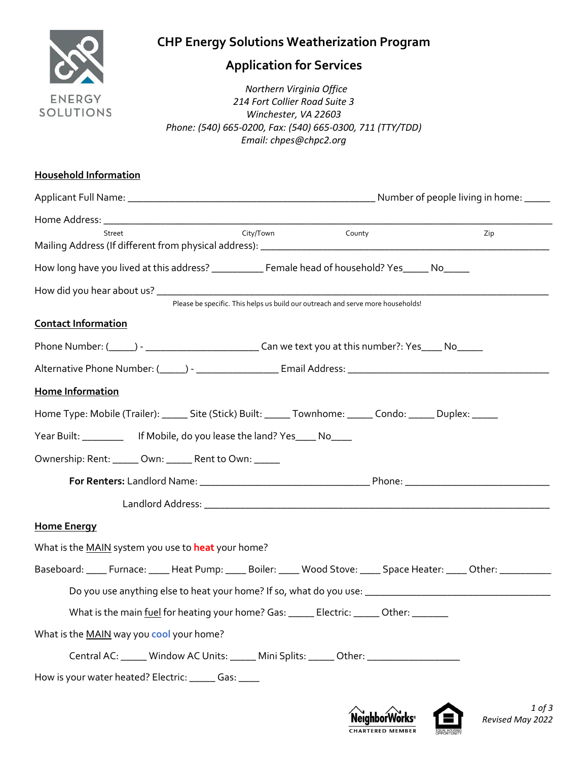

# **Application for Services**

**1997 - The Property Controller Property Controller Property Controller Property Controller Property Controller Property Controller Property Controller Property Controller Property Controller Property Controller Property C** *214 Fort Collier Road Suite 3 Winchester, VA 22603 Phone: (540) 665-0200, Fax: (540) 665-0300, 711 (TTY/TDD) Email: chpes@chpc2.org*

| <b>Household Information</b>                                                                                            |     |
|-------------------------------------------------------------------------------------------------------------------------|-----|
|                                                                                                                         |     |
|                                                                                                                         |     |
| City/Town<br><b>County</b><br>Street                                                                                    | Zip |
| How long have you lived at this address? ___________ Female head of household? Yes_____ No_____                         |     |
|                                                                                                                         |     |
| Please be specific. This helps us build our outreach and serve more households!                                         |     |
| <b>Contact Information</b>                                                                                              |     |
|                                                                                                                         |     |
|                                                                                                                         |     |
| Home Information                                                                                                        |     |
| Home Type: Mobile (Trailer): ______ Site (Stick) Built: ______ Townhome: ______ Condo: ______ Duplex: ______            |     |
| Year Built: ____________ If Mobile, do you lease the land? Yes____ No____                                               |     |
| Ownership: Rent: _____ Own: _____ Rent to Own: _____                                                                    |     |
|                                                                                                                         |     |
|                                                                                                                         |     |
| <b>Home Energy</b>                                                                                                      |     |
| What is the MAIN system you use to heat your home?                                                                      |     |
| Baseboard: _____ Furnace: _____ Heat Pump: _____ Boiler: _____ Wood Stove: _____ Space Heater: _____ Other: ___________ |     |
|                                                                                                                         |     |
| What is the main fuel for heating your home? Gas: ______ Electric: ______ Other: _______                                |     |
| What is the MAIN way you cool your home?                                                                                |     |
| Central AC: ______ Window AC Units: ______ Mini Splits: ______ Other: _________________                                 |     |
| How is your water heated? Electric: ______ Gas: ____                                                                    |     |



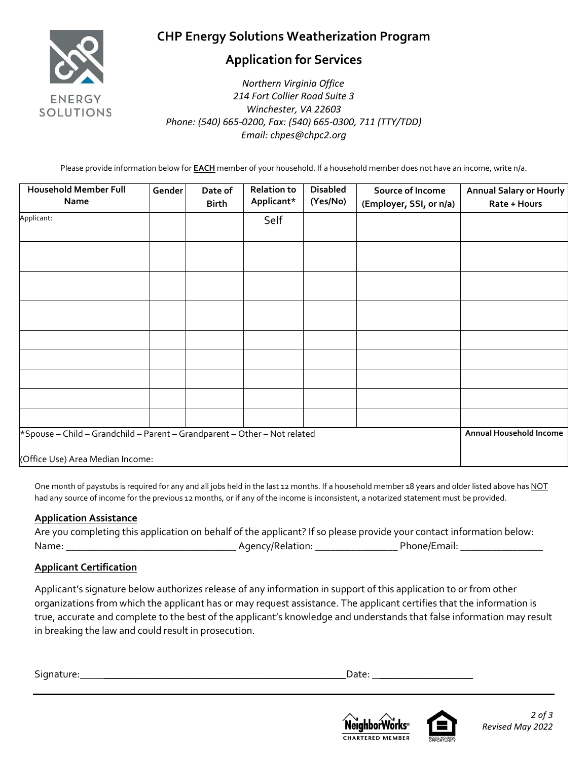

## **Application for Services**

 *Northern Virginia Office 214 Fort Collier Road Suite 3 Winchester, VA 22603 Phone: (540) 665-0200, Fax: (540) 665-0300, 711 (TTY/TDD) Email: chpes@chpc2.org*

Please provide information below for **EACH** member of your household. If a household member does not have an income, write n/a.

| <b>Household Member Full</b><br>Name                                                                          | Gender | Date of<br><b>Birth</b> | <b>Relation to</b><br>Applicant* | <b>Disabled</b><br>(Yes/No) | Source of Income<br>(Employer, SSI, or n/a) | <b>Annual Salary or Hourly</b><br>Rate + Hours |
|---------------------------------------------------------------------------------------------------------------|--------|-------------------------|----------------------------------|-----------------------------|---------------------------------------------|------------------------------------------------|
| Applicant:                                                                                                    |        |                         | Self                             |                             |                                             |                                                |
|                                                                                                               |        |                         |                                  |                             |                                             |                                                |
|                                                                                                               |        |                         |                                  |                             |                                             |                                                |
|                                                                                                               |        |                         |                                  |                             |                                             |                                                |
|                                                                                                               |        |                         |                                  |                             |                                             |                                                |
|                                                                                                               |        |                         |                                  |                             |                                             |                                                |
|                                                                                                               |        |                         |                                  |                             |                                             |                                                |
|                                                                                                               |        |                         |                                  |                             |                                             |                                                |
|                                                                                                               |        |                         |                                  |                             |                                             |                                                |
| *Spouse - Child - Grandchild - Parent - Grandparent - Other - Not related<br>(Office Use) Area Median Income: |        |                         |                                  |                             |                                             | Annual Household Income                        |

One month of paystubs is required for any and all jobs held in the last 12 months. If a household member 18 years and older listed above has NOT had any source of income for the previous 12 months, or if any of the income is inconsistent, a notarized statement must be provided.

#### **Application Assistance**

| Are you completing this application on behalf of the applicant? If so please provide your contact information below: |                  |              |
|----------------------------------------------------------------------------------------------------------------------|------------------|--------------|
| Name:                                                                                                                | Agency/Relation: | Phone/Email: |

#### **Applicant Certification**

Applicant's signature below authorizes release of any information in support of this application to or from other organizations from which the applicant has or may request assistance. The applicant certifies that the information is true, accurate and complete to the best of the applicant's knowledge and understands that false information may result in breaking the law and could result in prosecution.

Signature: **\_\_\_\_\_\_\_\_\_\_\_\_\_\_\_\_\_\_\_\_\_\_\_\_\_\_\_\_\_\_\_\_\_\_\_\_\_\_\_\_\_\_\_\_\_\_\_**Date: **\_\_\_\_\_\_\_\_\_\_\_\_\_\_\_\_\_\_**